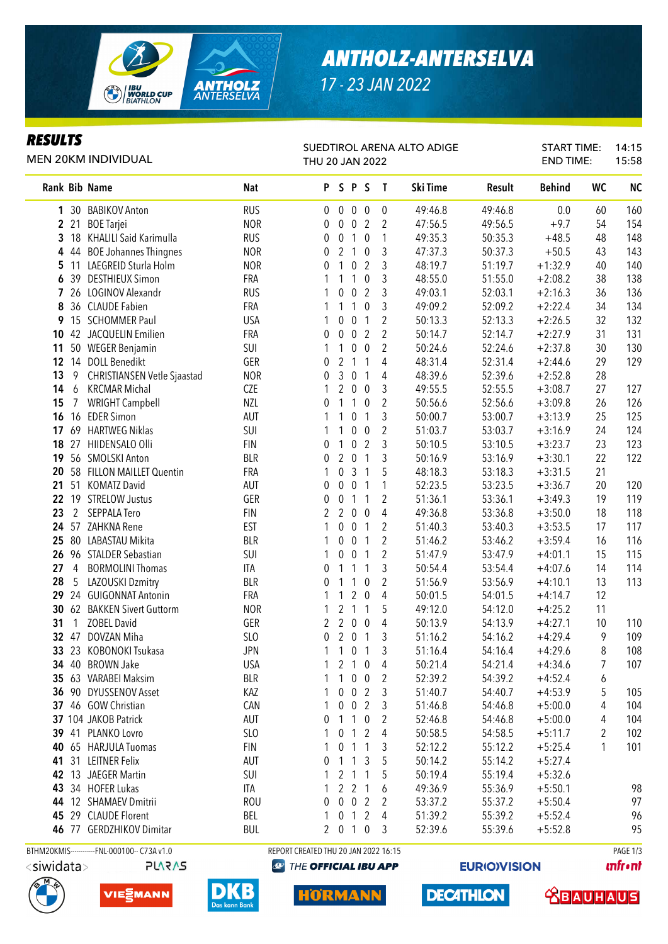

# *ANTHOLZ-ANTERSELVA*

*17 - 23 JAN 2022*

### *RESULTS*

#### MEN 20KM INDIVIDUAL

### SUEDTIROL ARENA ALTO ADIGE

START TIME: 14:15 END TIME: 15:58

|                       | <b>MEN 20KM INDIVIDUAL</b>                   |            | THU 20 JAN 2022                           |                  |                |                  |                |          |                     | <b>END TIME:</b> |    | 15:58          |
|-----------------------|----------------------------------------------|------------|-------------------------------------------|------------------|----------------|------------------|----------------|----------|---------------------|------------------|----|----------------|
| Rank Bib Name         |                                              | Nat        |                                           |                  | PSPS           |                  | $\mathbf{T}$   | Ski Time | Result              | <b>Behind</b>    | WC | <b>NC</b>      |
|                       | 1 30 BABIKOV Anton                           | <b>RUS</b> | $\mathbf 0$                               | $\mathbf 0$      | $\pmb{0}$      | $\boldsymbol{0}$ | 0              | 49:46.8  | 49:46.8             | 0.0              | 60 | 160            |
| 2 21                  | <b>BOE Tarjei</b>                            | <b>NOR</b> | 0                                         | $\mathbf 0$      | $\pmb{0}$      | $\overline{2}$   | 2              | 47:56.5  | 49:56.5             | $+9.7$           | 54 | 154            |
|                       | 3 18 KHALILI Said Karimulla                  | <b>RUS</b> | 0                                         | $\pmb{0}$        | $\mathbf{1}$   | $\mathbf 0$      | 1              | 49:35.3  | 50:35.3             | $+48.5$          | 48 | 148            |
| 444                   | <b>BOE Johannes Thingnes</b>                 | <b>NOR</b> | 0                                         | $\overline{2}$   | $\overline{1}$ | $\mathbf 0$      | 3              | 47:37.3  | 50:37.3             | $+50.5$          | 43 | 143            |
|                       | 5 11 LAEGREID Sturla Holm                    | <b>NOR</b> | 0                                         | 1                | 0              | $\overline{2}$   | 3              | 48:19.7  | 51:19.7             | $+1:32.9$        | 40 | 140            |
| -39<br>6              | <b>DESTHIEUX Simon</b>                       | FRA        | 1                                         | 1                | 1              | $\boldsymbol{0}$ | 3              | 48:55.0  | 51:55.0             | $+2:08.2$        | 38 | 138            |
| 7                     | 26 LOGINOV Alexandr                          | <b>RUS</b> | 1                                         | 0                | $\pmb{0}$      | $\overline{2}$   | 3              | 49:03.1  | 52:03.1             | $+2:16.3$        | 36 | 136            |
| 8                     | 36 CLAUDE Fabien                             | FRA        | 1                                         | 1                | $\mathbf{1}$   | $\pmb{0}$        | 3              | 49:09.2  | 52:09.2             | $+2:22.4$        | 34 | 134            |
| 9                     | 15 SCHOMMER Paul                             | <b>USA</b> | 1                                         | 0                | $\pmb{0}$      | $\mathbf{1}$     | $\overline{2}$ | 50:13.3  | 52:13.3             | $+2:26.5$        | 32 | 132            |
| 10                    | 42 JACQUELIN Emilien                         | FRA        | 0                                         | 0                | 0              | $\overline{2}$   | $\overline{2}$ | 50:14.7  | 52:14.7             | $+2:27.9$        | 31 | 131            |
| 11                    | 50 WEGER Benjamin                            | SUI        | 1                                         | 1                | $\pmb{0}$      | $\pmb{0}$        | $\overline{2}$ | 50:24.6  | 52:24.6             | $+2:37.8$        | 30 | 130            |
|                       | 12 14 DOLL Benedikt                          | GER        | 0                                         | $\overline{2}$   | $\overline{1}$ | $\mathbf{1}$     | $\overline{4}$ | 48:31.4  | 52:31.4             | $+2:44.6$        | 29 | 129            |
| 13<br>9               | <b>CHRISTIANSEN Vetle Sjaastad</b>           | <b>NOR</b> | 0                                         | 3                | $\pmb{0}$      | $\mathbf{1}$     | 4              | 48:39.6  | 52:39.6             | $+2:52.8$        | 28 |                |
| 6<br>14               | <b>KRCMAR Michal</b>                         | <b>CZE</b> | 1                                         | $\overline{2}$   | $\mathbf 0$    | $\boldsymbol{0}$ | 3              | 49:55.5  | 52:55.5             | $+3:08.7$        | 27 | 127            |
| 15<br>$\overline{7}$  | <b>WRIGHT Campbell</b>                       | <b>NZL</b> | 0                                         | $\mathbf{1}$     | $\mathbf{1}$   | $\mathbf 0$      | $\overline{2}$ | 50:56.6  | 52:56.6             | $+3:09.8$        | 26 | 126            |
|                       | 16 16 EDER Simon                             | AUT        | 1                                         | 1                | $\pmb{0}$      | $\mathbf{1}$     | 3              | 50:00.7  | 53:00.7             | $+3:13.9$        | 25 | 125            |
| 17                    | 69 HARTWEG Niklas                            | SUI        | 1                                         | 1                | $\pmb{0}$      | $\mathbf 0$      | 2              | 51:03.7  | 53:03.7             | $+3:16.9$        | 24 | 124            |
| 18<br>27              | HIIDENSALO Olli                              | <b>FIN</b> | 0                                         | $\mathbf{1}$     | $\pmb{0}$      | $\overline{2}$   | 3              | 50:10.5  | 53:10.5             | $+3:23.7$        | 23 | 123            |
| 19                    | 56 SMOLSKI Anton                             | <b>BLR</b> | 0                                         | $\overline{2}$   | $\pmb{0}$      | $\mathbf{1}$     | 3              | 50:16.9  | 53:16.9             | $+3:30.1$        | 22 | 122            |
| 20                    | 58 FILLON MAILLET Quentin                    | FRA        | 1                                         | $\pmb{0}$        | 3              | $\mathbf{1}$     | 5              | 48:18.3  | 53:18.3             | $+3:31.5$        | 21 |                |
| 21                    | 51 KOMATZ David                              | AUT        | 0                                         | $\boldsymbol{0}$ | $\pmb{0}$      | $\mathbf{1}$     | 1              | 52:23.5  | 53:23.5             | $+3:36.7$        | 20 | 120            |
| 22<br>19              | <b>STRELOW Justus</b>                        | GER        | 0                                         | $\pmb{0}$        | $\mathbf{1}$   | $\mathbf{1}$     | 2              | 51:36.1  | 53:36.1             | $+3:49.3$        | 19 | 119            |
| 2<br>23               | <b>SEPPALA Tero</b>                          | <b>FIN</b> | 2                                         | $\overline{2}$   | $\mathbf 0$    | $\overline{0}$   | 4              | 49:36.8  | 53:36.8             | $+3:50.0$        | 18 | 118            |
| 57<br>24              | ZAHKNA Rene                                  | EST        | 1                                         | 0                | $\mathbf 0$    | $\mathbf{1}$     | 2              | 51:40.3  | 53:40.3             | $+3:53.5$        | 17 | 117            |
| 80<br>25              | LABASTAU Mikita                              | <b>BLR</b> |                                           | 0                | $\mathbf 0$    | $\mathbf{1}$     | $\overline{2}$ | 51:46.2  | 53:46.2             | $+3:59.4$        | 16 | 116            |
|                       | 26 96 STALDER Sebastian                      | SUI        | 1                                         | 0                | $\mathbf 0$    | $\mathbf{1}$     | 2              | 51:47.9  | 53:47.9             | $+4:01.1$        | 15 | 115            |
| 27<br>4               | <b>BORMOLINI Thomas</b>                      | ITA        | 0                                         | 1                | $\mathbf{1}$   | $\mathbf{1}$     | 3              | 50:54.4  | 53:54.4             | $+4:07.6$        | 14 | 114            |
| 28<br>5               | LAZOUSKI Dzmitry                             | <b>BLR</b> | 0                                         | 1                | $\mathbf{1}$   | $\mathbf 0$      | 2              | 51:56.9  | 53:56.9             | $+4:10.1$        | 13 | 113            |
| 29                    | 24 GUIGONNAT Antonin                         | FRA        | 1                                         | 1                | $\overline{2}$ | $\overline{0}$   | 4              | 50:01.5  | 54:01.5             | $+4:14.7$        | 12 |                |
| 30                    | 62 BAKKEN Sivert Guttorm                     | <b>NOR</b> | 1                                         | $\overline{2}$   | $\overline{1}$ | $\mathbf{1}$     | 5              | 49:12.0  | 54:12.0             | $+4:25.2$        | 11 |                |
| 31<br>$\mathbf{1}$    | <b>ZOBEL David</b>                           | GER        | 2                                         | $\overline{2}$   | $\overline{0}$ | $\mathbf 0$      | 4              | 50:13.9  | 54:13.9             | $+4:27.1$        | 10 | 110            |
| 32 <sup>2</sup><br>47 | DOVZAN Miha                                  | SLO        | 0                                         | $\overline{2}$   | $\overline{0}$ | 1                | 3              | 51:16.2  | 54:16.2             | $+4:29.4$        | 9  | 109            |
|                       | 33 23 KOBONOKI Tsukasa                       | <b>JPN</b> | 1                                         | $\mathbf{1}$     | $\pmb{0}$      | 1                | 3              | 51:16.4  | 54:16.4             | $+4:29.6$        | 8  | 108            |
|                       | 34 40 BROWN Jake                             | <b>USA</b> | 1                                         |                  | 2 1 0          |                  | 4              | 50:21.4  | 54:21.4             | $+4:34.6$        | 7  | 107            |
|                       | 35 63 VARABEI Maksim                         | <b>BLR</b> |                                           | $\mathbf{1}$     | $\mathbf 0$    | $\overline{0}$   | 2              | 52:39.2  | 54:39.2             | $+4:52.4$        | 6  |                |
|                       | 36 90 DYUSSENOV Asset                        | KAZ        |                                           | $\mathbf 0$      |                | 0 <sub>2</sub>   | 3              | 51:40.7  | 54:40.7             | $+4:53.9$        | 5  | 105            |
|                       | 37 46 GOW Christian                          | CAN        | 1                                         | $\mathbf 0$      | $\mathbf 0$    | $\overline{2}$   | 3              | 51:46.8  | 54:46.8             | $+5:00.0$        | 4  | 104            |
|                       | 37 104 JAKOB Patrick                         | AUT        | 0                                         | -1               |                | $1\quad0$        | 2              | 52:46.8  | 54:46.8             | $+5:00.0$        | 4  | 104            |
|                       | 39 41 PLANKO Lovro                           | SLO        |                                           | $\mathbf{0}$     | $\overline{1}$ | 2                | 4              | 50:58.5  | 54:58.5             | $+5:11.7$        | 2  | 102            |
|                       | 40 65 HARJULA Tuomas                         | <b>FIN</b> |                                           | $\mathbf 0$      | $\overline{1}$ | $\mathbf{1}$     | 3              | 52:12.2  | 55:12.2             | $+5:25.4$        | 1  | 101            |
|                       | 41 31 LEITNER Felix                          | AUT        |                                           | 1                | $\mathbf{1}$   | -3               | 5              | 50:14.2  | 55:14.2             | $+5:27.4$        |    |                |
|                       | 42 13 JAEGER Martin                          | SUI        |                                           | 2                | 1              | 1                | 5              | 50:19.4  | 55:19.4             | $+5:32.6$        |    |                |
|                       | 43 34 HOFER Lukas                            | ITA        |                                           |                  | 2 <sub>2</sub> | 1                |                | 49:36.9  | 55:36.9             | $+5:50.1$        |    | 98             |
|                       | 44 12 SHAMAEV Dmitrii                        | <b>ROU</b> | 0                                         | $\mathbf 0$      | $\mathbf 0$    | $\overline{2}$   | 2              | 53:37.2  | 55:37.2             | $+5:50.4$        |    | 97             |
|                       | 45 29 CLAUDE Florent                         | BEL        |                                           |                  | $0 \t1 \t2$    |                  | 4              | 51:39.2  | 55:39.2             | $+5:52.4$        |    | 96             |
|                       | 46 77 GERDZHIKOV Dimitar                     | <b>BUL</b> |                                           |                  | 2010           |                  | - 3            | 52:39.6  | 55:39.6             | $+5:52.8$        |    | 95             |
|                       | BTHM20KMIS------------FNL-000100-- C73A v1.0 |            | REPORT CREATED THU 20 JAN 2022 16:15      |                  |                |                  |                |          |                     |                  |    | PAGE 1/3       |
| <siwidata></siwidata> | <b>SVSVJS</b>                                |            | <b><sup>49</sup> THE OFFICIAL IBU APP</b> |                  |                |                  |                |          | <b>EURIO)VISION</b> |                  |    | <b>unfront</b> |
|                       |                                              |            |                                           |                  |                |                  |                |          |                     |                  |    |                |







**DECATHLON** 

 **<u>CBAUHAUS</u>**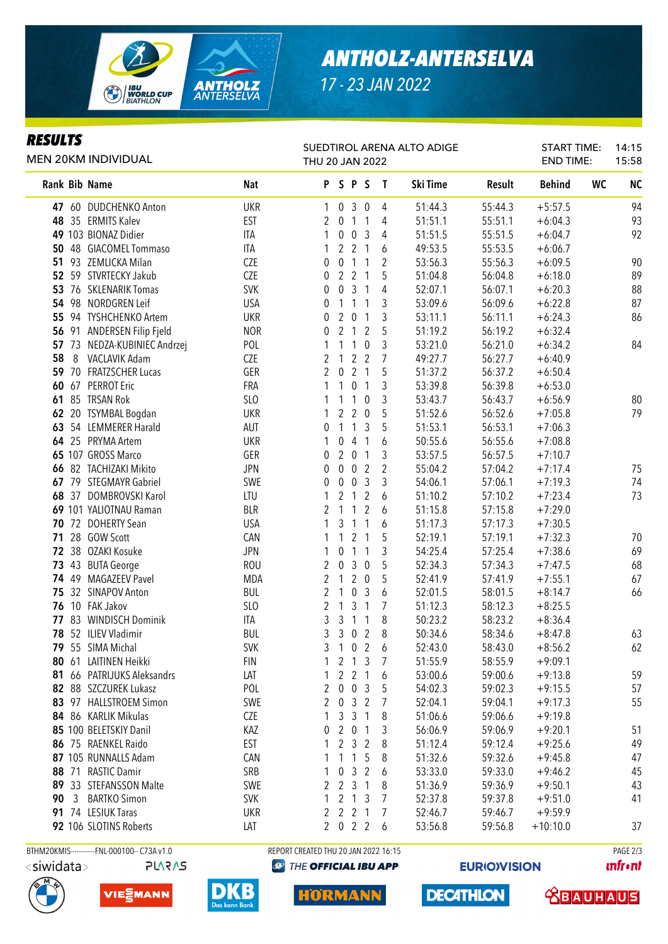

## *ANTHOLZ-ANTERSELVA*

*17 - 23 JAN 2022*

#### *RESULTS*

MEN 20KM INDIVIDUAL

#### SUEDTIROL ARENA ALTO ADIGE THU 20 JAN 2022

START TIME: END TIME: 14:15 15:58

|    |       | Rank Bib Name                | Nat        |                |                  | PSPS                |                | $\mathbf{I}$   | Ski Time | Result  | <b>Behind</b> | WC | <b>NC</b> |
|----|-------|------------------------------|------------|----------------|------------------|---------------------|----------------|----------------|----------|---------|---------------|----|-----------|
|    |       | 47 60 DUDCHENKO Anton        | <b>UKR</b> | 1              | $\mathbf 0$      |                     | 3 <sub>0</sub> | 4              | 51:44.3  | 55:44.3 | $+5:57.5$     |    | 94        |
|    |       | 48 35 ERMITS Kalev           | <b>EST</b> | 2              | $\mathbf 0$      |                     | $1 \quad 1$    | 4              | 51:51.1  | 55:51.1 | $+6:04.3$     |    | 93        |
|    |       | 49 103 BIONAZ Didier         | <b>ITA</b> | 1              | 0                |                     | 0 <sup>3</sup> | 4              | 51:51.5  | 55:51.5 | $+6:04.7$     |    | 92        |
|    |       | 50 48 GIACOMEL Tommaso       | ITA        | 1              | $2^{\circ}$      |                     | 2 <sub>1</sub> | 6              | 49:53.5  | 55:53.5 | $+6:06.7$     |    |           |
| 51 |       | 93 ZEMLICKA Milan            | <b>CZE</b> | 0              | $\boldsymbol{0}$ | 1                   | 1              | 2              | 53:56.3  | 55:56.3 | $+6:09.5$     |    | 90        |
|    |       | 52 59 STVRTECKY Jakub        | <b>CZE</b> | 0              | $\overline{2}$   |                     | 2 <sub>1</sub> | 5              | 51:04.8  | 56:04.8 | $+6:18.0$     |    | 89        |
|    |       | 53 76 SKLENARIK Tomas        | <b>SVK</b> | 0              | 0                | $\mathbf{3}$        | -1             | 4              | 52:07.1  | 56:07.1 | $+6:20.3$     |    | 88        |
| 54 | 98    | <b>NORDGREN Leif</b>         | <b>USA</b> | 0              | 1                | $\mathbf{1}$        | 1              | 3              | 53:09.6  | 56:09.6 | $+6:22.8$     |    | 87        |
| 55 |       | 94 TYSHCHENKO Artem          | <b>UKR</b> | 0              | 2                | $\overline{0}$      | 1              | 3              | 53:11.1  | 56:11.1 | $+6:24.3$     |    | 86        |
|    | 56 91 | ANDERSEN Filip Fjeld         | <b>NOR</b> | 0              | $\overline{2}$   | $\overline{1}$      | 2              | 5              | 51:19.2  | 56:19.2 | $+6:32.4$     |    |           |
|    |       | 57 73 NEDZA-KUBINIEC Andrzej | POL        |                | 1                | $\overline{1}$      | $\mathbf 0$    | 3              | 53:21.0  | 56:21.0 | $+6:34.2$     |    | 84        |
| 58 | 8     | <b>VACLAVIK Adam</b>         | <b>CZE</b> | 2              | 1                | $\overline{2}$      | $\overline{2}$ | $\overline{7}$ | 49:27.7  | 56:27.7 | $+6:40.9$     |    |           |
|    |       | 59 70 FRATZSCHER Lucas       | GER        | 2              | $\boldsymbol{0}$ | $\overline{2}$      | $\overline{1}$ | 5              | 51:37.2  | 56:37.2 | $+6:50.4$     |    |           |
|    |       | 60 67 PERROT Eric            | FRA        | 1              | 1                | $\boldsymbol{0}$    | $\overline{1}$ | 3              | 53:39.8  | 56:39.8 | $+6:53.0$     |    |           |
|    |       | 61 85 TRSAN Rok              | SLO        |                | 1                | 1                   | $\overline{0}$ | 3              | 53:43.7  | 56:43.7 | $+6:56.9$     |    | 80        |
|    |       | 62 20 TSYMBAL Bogdan         | <b>UKR</b> |                | $\overline{2}$   | $\overline{2}$      | $\overline{0}$ | 5              | 51:52.6  | 56:52.6 | $+7:05.8$     |    | 79        |
|    |       | 63 54 LEMMERER Harald        | AUT        | 0              | $\mathbf{1}$     | 1                   | 3              | 5              | 51:53.1  | 56:53.1 | $+7:06.3$     |    |           |
|    |       | 64 25 PRYMA Artem            | <b>UKR</b> |                | 0                | 4                   | $\overline{1}$ | 6              | 50:55.6  | 56:55.6 | $+7:08.8$     |    |           |
|    |       | 65 107 GROSS Marco           | GER        | 0              | $\overline{2}$   | $\mathbf{0}$        | $\overline{1}$ | 3              | 53:57.5  | 56:57.5 | $+7:10.7$     |    |           |
|    |       | 66 82 TACHIZAKI Mikito       | <b>JPN</b> | 0              | 0                | $\mathbf 0$         | $\overline{2}$ | $\overline{2}$ | 55:04.2  | 57:04.2 | $+7:17.4$     |    | 75        |
| 67 |       | 79 STEGMAYR Gabriel          | SWE        | $\Omega$       | 0                | $\mathbf 0$         | $\overline{3}$ | 3              | 54:06.1  | 57:06.1 | $+7:19.3$     |    | 74        |
|    | 68 37 | DOMBROVSKI Karol             | LTU        |                | $\overline{2}$   | $\overline{1}$      | $\overline{2}$ | 6              | 51:10.2  | 57:10.2 | $+7:23.4$     |    | 73        |
|    |       | 69 101 YALIOTNAU Raman       | <b>BLR</b> | 2              | 1                | $\overline{1}$      | 2              | 6              | 51:15.8  | 57:15.8 | $+7:29.0$     |    |           |
|    |       | 70 72 DOHERTY Sean           | <b>USA</b> |                | 3                | 1                   | 1              | 6              | 51:17.3  | 57:17.3 | $+7:30.5$     |    |           |
| 71 |       | 28 GOW Scott                 | CAN        |                | 1                | $\overline{2}$      | -1             | 5              | 52:19.1  | 57:19.1 | $+7:32.3$     |    | 70        |
|    | 72 38 | OZAKI Kosuke                 | <b>JPN</b> |                | 0                | $\mathbf{1}$        | 1              | 3              | 54:25.4  | 57:25.4 | $+7:38.6$     |    | 69        |
|    |       | 73 43 BUTA George            | <b>ROU</b> | 2              | $\boldsymbol{0}$ | $\mathfrak{Z}$      | $\overline{0}$ | 5              | 52:34.3  | 57:34.3 | $+7:47.5$     |    | 68        |
|    |       | 74 49 MAGAZEEV Pavel         | <b>MDA</b> | $\overline{2}$ | 1                | $\overline{2}$      | $\overline{0}$ | 5              | 52:41.9  | 57:41.9 | $+7:55.1$     |    | 67        |
| 75 |       | 32 SINAPOV Anton             | <b>BUL</b> | $\overline{2}$ | 1                | $\mathbf 0$         | $\mathbf{3}$   | 6              | 52:01.5  | 58:01.5 | $+8:14.7$     |    | 66        |
|    |       | 76 10 FAK Jakov              | SLO        | 2              | 1                | $\mathfrak{Z}$      | $\overline{1}$ | 7              | 51:12.3  | 58:12.3 | $+8:25.5$     |    |           |
|    |       | 77 83 WINDISCH Dominik       | ITA        | 3              | 3                | $\mathbf{1}$        | $\mathbf{1}$   | 8              | 50:23.2  | 58:23.2 | $+8:36.4$     |    |           |
|    |       | 78 52 ILIEV Vladimir         | <b>BUL</b> | 3              | 3                | $\mathbf 0$         | $\overline{2}$ | 8              | 50:34.6  | 58:34.6 | $+8:47.8$     |    | 63        |
|    |       | 79 55 SIMA Michal            | <b>SVK</b> | 3              | $\mathbf{1}$     | $\mathbf 0$         | $\overline{2}$ | 6              | 52:43.0  | 58:43.0 | $+8:56.2$     |    | 62        |
|    |       | 80 61 LAITINEN Heikki        | <b>FIN</b> | 1              |                  | 2 <sub>1</sub>      | $\mathbf{3}$   | $\overline{7}$ | 51:55.9  | 58:55.9 | $+9:09.1$     |    |           |
|    |       | 81 66 PATRIJUKS Aleksandrs   | LAT        |                |                  | $2 \t2 \t1$         |                | 6              | 53:00.6  | 59:00.6 | $+9:13.8$     |    | 59        |
|    |       | 82 88 SZCZUREK Lukasz        | POL        | 2              | $\mathbf 0$      | $\mathbf 0$         | 3              | 5              | 54:02.3  | 59:02.3 | $+9:15.5$     |    | 57        |
|    |       | 83 97 HALLSTROEM Simon       | SWE        | 2              | $\overline{0}$   |                     | 3 <sup>2</sup> | 7              | 52:04.1  | 59:04.1 | $+9:17.3$     |    | 55        |
|    |       | 84 86 KARLIK Mikulas         | <b>CZE</b> |                | 3                | 3                   | $\overline{1}$ | 8              | 51:06.6  | 59:06.6 | $+9:19.8$     |    |           |
|    |       | 85 100 BELETSKIY Danil       | KAZ        | 0              | $\overline{2}$   | $\mathbf 0$         | -1             | 3              | 56:06.9  | 59:06.9 | $+9:20.1$     |    | 51        |
|    |       | 86 75 RAENKEL Raido          | <b>EST</b> |                | 2                | 3                   | 2              | 8              | 51:12.4  | 59:12.4 | $+9:25.6$     |    | 49        |
|    |       | 87 105 RUNNALLS Adam         | CAN        |                | 1                | $\mathbf{1}$        | -5             | 8              | 51:32.6  | 59:32.6 | $+9:45.8$     |    | 47        |
|    |       | 88 71 RASTIC Damir           | SRB        |                | $\mathbf 0$      | 3                   | 2              | 6              | 53:33.0  | 59:33.0 | $+9:46.2$     |    | 45        |
|    |       | 89 33 STEFANSSON Malte       | SWE        | 2              |                  | $2 \t3 \t1$         |                | 8              | 51:36.9  | 59:36.9 | $+9:50.1$     |    | 43        |
| 90 | 3     | <b>BARTKO Simon</b>          | <b>SVK</b> |                |                  | $2 \t1 \t3$         |                | 7              | 52:37.8  | 59:37.8 | $+9:51.0$     |    | 41        |
|    |       | 91 74 LESIUK Taras           | <b>UKR</b> | 2              |                  | $2 \quad 2 \quad 1$ |                | 7              | 52:46.7  | 59:46.7 | $+9:59.9$     |    |           |
|    |       | 92 106 SLOTINS Roberts       | Lat        |                |                  | 2 0 2 2             |                | 6              | 53:56.8  | 59:56.8 | $+10:10.0$    |    | 37        |
|    |       |                              |            |                |                  |                     |                |                |          |         |               |    |           |

BTHM20KMIS-----------FNL-000100-- C73A v1.0 REPORT CREATED THU 20 JAN 2022 16:15 PAGE 2/3







### THE OFFICIAL IBU APP

**HORMANN** 

**EURIO)VISION** 

**DECATHLON** 

**unfront** 

 **<u>CBAUHAUS</u>**